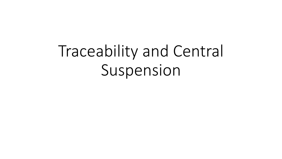# Traceability and Central Suspension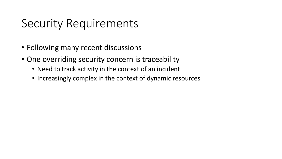#### Security Requirements

- Following many recent discussions
- One overriding security concern is traceability
	- Need to track activity in the context of an incident
	- Increasingly complex in the context of dynamic resources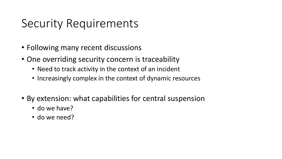#### Security Requirements

- Following many recent discussions
- One overriding security concern is traceability
	- Need to track activity in the context of an incident
	- Increasingly complex in the context of dynamic resources
- By extension: what capabilities for central suspension
	- do we have?
	- do we need?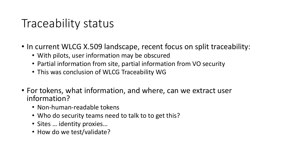#### Traceability status

- In current WLCG X.509 landscape, recent focus on split traceability:
	- With pilots, user information may be obscured
	- Partial information from site, partial information from VO security
	- This was conclusion of WLCG Traceability WG
- For tokens, what information, and where, can we extract user information?
	- Non-human-readable tokens
	- Who do security teams need to talk to to get this?
	- Sites … identity proxies…
	- How do we test/validate?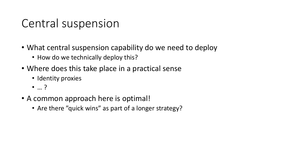#### Central suspension

- What central suspension capability do we need to deploy
	- How do we technically deploy this?
- Where does this take place in a practical sense
	- Identity proxies
	- … ?
- A common approach here is optimal!
	- Are there "quick wins" as part of a longer strategy?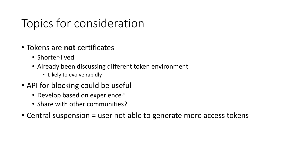### Topics for consideration

- Tokens are **not** certificates
	- Shorter-lived
	- Already been discussing different token environment
		- Likely to evolve rapidly
- API for blocking could be useful
	- Develop based on experience?
	- Share with other communities?
- Central suspension = user not able to generate more access tokens